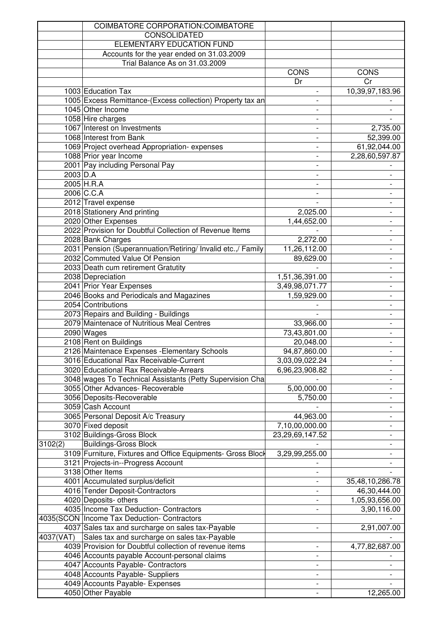|            | COIMBATORE CORPORATION: COIMBATORE                           |                          |                          |
|------------|--------------------------------------------------------------|--------------------------|--------------------------|
|            | CONSOLIDATED                                                 |                          |                          |
|            | ELEMENTARY EDUCATION FUND                                    |                          |                          |
|            | Accounts for the year ended on 31.03.2009                    |                          |                          |
|            | Trial Balance As on 31.03.2009                               |                          |                          |
|            |                                                              | <b>CONS</b>              | <b>CONS</b>              |
|            |                                                              | Dr                       | Cr                       |
|            | 1003 Education Tax                                           |                          | 10,39,97,183.96          |
|            | 1005 Excess Remittance-(Excess collection) Property tax an   |                          |                          |
|            | 1045 Other Income                                            |                          |                          |
|            | 1058 Hire charges                                            |                          |                          |
|            | 1067 Interest on Investments                                 |                          | 2,735.00                 |
|            | 1068 Interest from Bank                                      |                          | 52,399.00                |
|            | 1069 Project overhead Appropriation-expenses                 |                          | 61,92,044.00             |
|            | 1088 Prior year Income                                       |                          | 2,28,60,597.87           |
|            | 2001 Pay including Personal Pay                              |                          |                          |
| $2003$ D.A |                                                              | $\qquad \qquad -$        |                          |
|            |                                                              | $\overline{\phantom{0}}$ |                          |
|            | 2005 H.R.A                                                   | $\overline{\phantom{a}}$ | $\overline{\phantom{a}}$ |
|            | 2006 C.C.A                                                   |                          | $\overline{\phantom{a}}$ |
|            | 2012 Travel expense                                          |                          |                          |
|            | 2018 Stationery And printing                                 | 2,025.00                 |                          |
|            | 2020 Other Expenses                                          | 1,44,652.00              |                          |
|            | 2022 Provision for Doubtful Collection of Revenue Items      |                          |                          |
|            | 2028 Bank Charges                                            | 2,272.00                 |                          |
|            | 2031 Pension (Superannuation/Retiring/ Invalid etc.,/ Family | 11,26,112.00             |                          |
|            | 2032 Commuted Value Of Pension                               | 89,629.00                |                          |
|            | 2033 Death cum retirement Gratutity                          |                          |                          |
|            | 2038 Depreciation                                            | 1,51,36,391.00           |                          |
|            | 2041 Prior Year Expenses                                     | 3,49,98,071.77           |                          |
|            | 2046 Books and Periodicals and Magazines                     | 1,59,929.00              | $\overline{\phantom{a}}$ |
|            | 2054 Contributions                                           |                          | $\overline{\phantom{a}}$ |
|            | 2073 Repairs and Building - Buildings                        |                          |                          |
|            | 2079 Maintenace of Nutritious Meal Centres                   | 33,966.00                |                          |
|            | 2090 Wages                                                   | 73,43,801.00             |                          |
|            | 2108 Rent on Buildings                                       | 20,048.00                |                          |
|            | 2126 Maintenace Expenses - Elementary Schools                | 94,87,860.00             |                          |
|            | 3016 Educational Rax Receivable-Current                      | 3,03,09,022.24           |                          |
|            | 3020 Educational Rax Receivable-Arrears                      | 6,96,23,908.82           |                          |
|            | 3048 wages To Technical Assistants (Petty Supervision Cha    |                          |                          |
|            | 3055 Other Advances- Recoverable                             | 5,00,000.00              |                          |
|            | 3056 Deposits-Recoverable                                    | 5,750.00                 |                          |
|            | 3059 Cash Account                                            |                          |                          |
|            | 3065 Personal Deposit A/c Treasury                           | 44,963.00                |                          |
|            | 3070 Fixed deposit                                           | 7,10,00,000.00           | $\overline{\phantom{a}}$ |
|            | 3102 Buildings-Gross Block                                   | 23,29,69,147.52          |                          |
| 3102(2)    | <b>Buildings-Gross Block</b>                                 |                          |                          |
|            | 3109 Furniture, Fixtures and Office Equipments- Gross Block  | 3,29,99,255.00           |                          |
|            | 3121 Projects-in--Progress Account                           |                          |                          |
|            | 3138 Other Items                                             |                          |                          |
|            | 4001 Accumulated surplus/deficit                             |                          | 35,48,10,286.78          |
|            | 4016 Tender Deposit-Contractors                              |                          | 46,30,444.00             |
|            | 4020 Deposits- others                                        |                          | 1,05,93,656.00           |
|            | 4035 Income Tax Deduction- Contractors                       |                          | 3,90,116.00              |
|            | 4035(SCON   Income Tax Deduction- Contractors                |                          |                          |
|            | 4037 Sales tax and surcharge on sales tax-Payable            | $\overline{\phantom{a}}$ | 2,91,007.00              |
|            |                                                              |                          |                          |
|            | 4037(VAT) Sales tax and surcharge on sales tax-Payable       |                          |                          |
|            | 4039 Provision for Doubtful collection of revenue items      | $\overline{\phantom{a}}$ | 4,77,82,687.00           |
|            | 4046 Accounts payable Account-personal claims                |                          |                          |
|            | 4047 Accounts Payable- Contractors                           |                          |                          |
|            | 4048 Accounts Payable- Suppliers                             | $\frac{1}{2}$            |                          |
|            | 4049 Accounts Payable- Expenses                              |                          |                          |
|            | 4050 Other Payable                                           |                          | 12,265.00                |